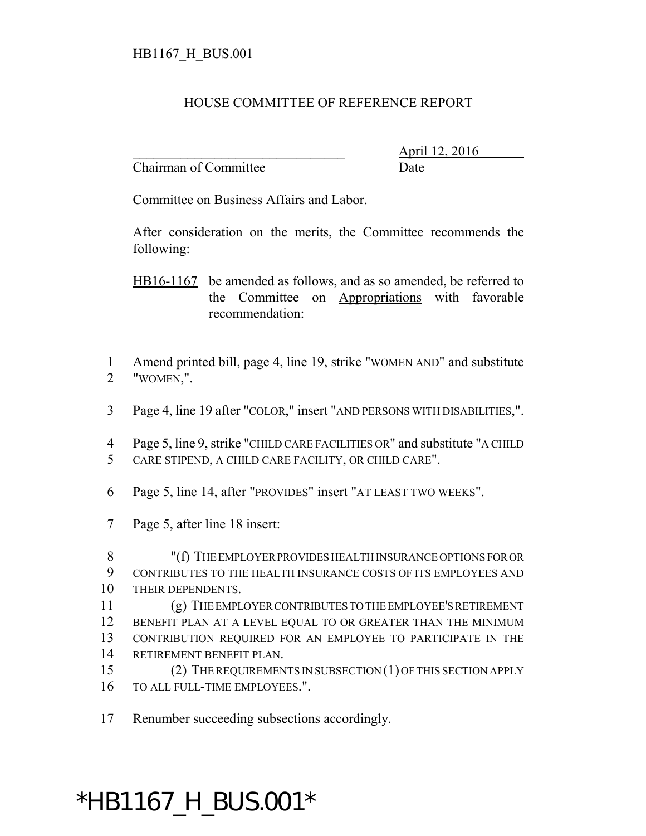## HOUSE COMMITTEE OF REFERENCE REPORT

Chairman of Committee Date

\_\_\_\_\_\_\_\_\_\_\_\_\_\_\_\_\_\_\_\_\_\_\_\_\_\_\_\_\_\_\_ April 12, 2016

Committee on Business Affairs and Labor.

After consideration on the merits, the Committee recommends the following:

HB16-1167 be amended as follows, and as so amended, be referred to the Committee on Appropriations with favorable recommendation:

 Amend printed bill, page 4, line 19, strike "WOMEN AND" and substitute "WOMEN,".

Page 4, line 19 after "COLOR," insert "AND PERSONS WITH DISABILITIES,".

 Page 5, line 9, strike "CHILD CARE FACILITIES OR" and substitute "A CHILD CARE STIPEND, A CHILD CARE FACILITY, OR CHILD CARE".

Page 5, line 14, after "PROVIDES" insert "AT LEAST TWO WEEKS".

Page 5, after line 18 insert:

 "(f) THE EMPLOYER PROVIDES HEALTH INSURANCE OPTIONS FOR OR CONTRIBUTES TO THE HEALTH INSURANCE COSTS OF ITS EMPLOYEES AND THEIR DEPENDENTS.

 (g) THE EMPLOYER CONTRIBUTES TO THE EMPLOYEE'S RETIREMENT BENEFIT PLAN AT A LEVEL EQUAL TO OR GREATER THAN THE MINIMUM CONTRIBUTION REQUIRED FOR AN EMPLOYEE TO PARTICIPATE IN THE RETIREMENT BENEFIT PLAN.

- (2) THE REQUIREMENTS IN SUBSECTION (1) OF THIS SECTION APPLY TO ALL FULL-TIME EMPLOYEES.".
- Renumber succeeding subsections accordingly.

## \*HB1167\_H\_BUS.001\*